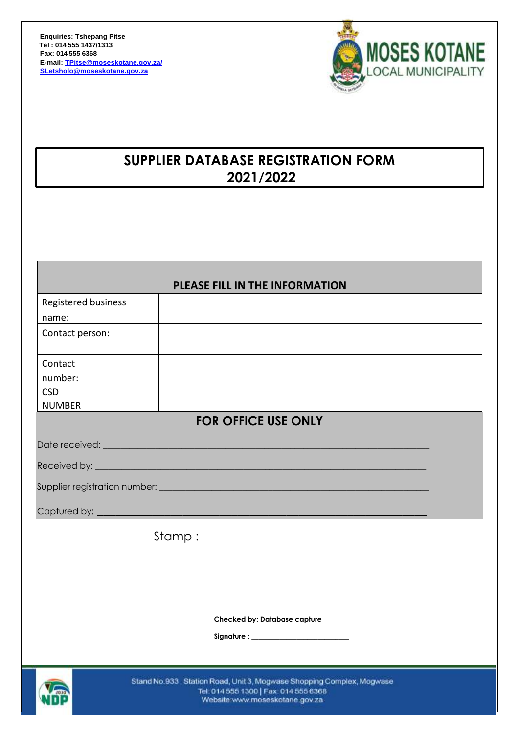

# **SUPPLIER DATABASE REGISTRATION FORM 2021/2022**

# **PLEASE FILL IN THE INFORMATION**

| Registered business |                            |
|---------------------|----------------------------|
| name:               |                            |
| Contact person:     |                            |
|                     |                            |
| Contact             |                            |
| number:             |                            |
| <b>CSD</b>          |                            |
| <b>NUMBER</b>       |                            |
|                     | <b>FOR OFFICE USE ONLY</b> |
| Date received:      |                            |

Received by:

Supplier registration number: \_\_\_\_\_\_\_\_\_\_\_\_\_\_\_\_\_\_\_\_\_\_\_\_\_\_\_\_\_\_\_\_\_\_\_\_\_\_\_\_\_\_\_\_\_\_\_\_\_\_\_\_\_\_\_\_\_\_\_\_\_\_

Captured by:

Stamp : **Checked by: Database capture** Signature :



Stand No.933, Station Road, Unit 3, Mogwase Shopping Complex, Mogwase Tel: 014 555 1300 | Fax: 014 555 6368 Website:www.moseskotane.gov.za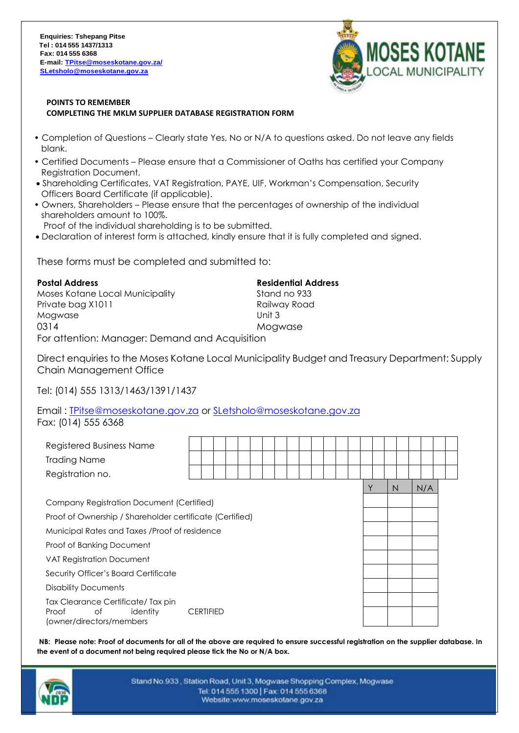

#### **POINTS TO REMEMBER COMPLETING THE MKLM SUPPLIER DATABASE REGISTRATION FORM**

- Completion of Questions Clearly state Yes, No or N/A to questions asked. Do not leave any fields blank.
- Certified Documents Please ensure that a Commissioner of Oaths has certified your Company Registration Document,
- Shareholding Certificates, VAT Registration, PAYE, UIF, Workman's Compensation, Security Officers Board Certificate (if applicable).
- Owners, Shareholders Please ensure that the percentages of ownership of the individual shareholders amount to 100%.

Proof of the individual shareholding is to be submitted.

Declaration of interest form is attached, kindly ensure that it is fully completed and signed.

These forms must be completed and submitted to:

**Postal Address Residential Address** Moses Kotane Local Municipality Stand no 933 Private bag X1011 **Railway Road** Mogwase Unit 3 0314 Mogwase For attention: Manager: Demand and Acquisition

Direct enquiries to the Moses Kotane Local Municipality Budget and Treasury Department: Supply Chain Management Office

Tel: (014) 555 1313/1463/1391/1437

Email : [TPitse@moseskotane.gov.za](mailto:TPitse@moseskotane.gov.za) or [SLetsholo@moseskotane.gov.za](mailto:SLetsholo@moseskotane.gov.za) Fax: (014) 555 6368

| <b>Registered Business Name</b><br><b>Trading Name</b>                                   |                  |  |  |  |  |  |  |   |   |  |     |  |
|------------------------------------------------------------------------------------------|------------------|--|--|--|--|--|--|---|---|--|-----|--|
| Registration no.                                                                         |                  |  |  |  |  |  |  |   |   |  |     |  |
|                                                                                          |                  |  |  |  |  |  |  | ν | N |  | N/A |  |
| Company Registration Document (Certified)                                                |                  |  |  |  |  |  |  |   |   |  |     |  |
| Proof of Ownership / Shareholder certificate (Certified)                                 |                  |  |  |  |  |  |  |   |   |  |     |  |
| Municipal Rates and Taxes /Proof of residence                                            |                  |  |  |  |  |  |  |   |   |  |     |  |
| Proof of Banking Document                                                                |                  |  |  |  |  |  |  |   |   |  |     |  |
| <b>VAT Registration Document</b>                                                         |                  |  |  |  |  |  |  |   |   |  |     |  |
| Security Officer's Board Certificate                                                     |                  |  |  |  |  |  |  |   |   |  |     |  |
| Disability Documents                                                                     |                  |  |  |  |  |  |  |   |   |  |     |  |
| Tax Clearance Certificate/Tax pin<br>Proof<br>of<br>identity<br>(owner/directors/members | <b>CERTIFIED</b> |  |  |  |  |  |  |   |   |  |     |  |

**NB: Please note: Proof of documents for all of the above are required to ensure successful registration on the supplier database. In the event of a document not being required please tick the No or N/A box.**



Stand No.933, Station Road, Unit 3, Mogwase Shopping Complex, Mogwase Tel: 014 555 1300 | Fax: 014 555 6368 Website:www.moseskotane.gov.za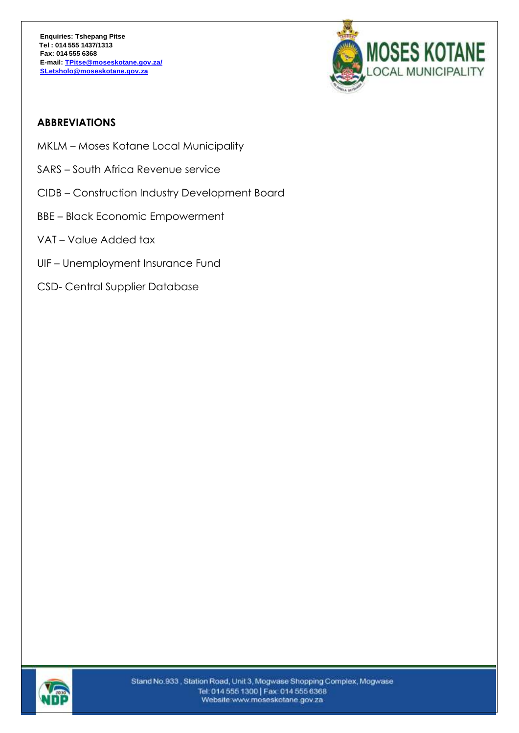

# **ABBREVIATIONS**

- MKLM Moses Kotane Local Municipality
- SARS South Africa Revenue service
- CIDB Construction Industry Development Board
- BBE Black Economic Empowerment
- VAT Value Added tax
- UIF Unemployment Insurance Fund
- CSD- Central Supplier Database

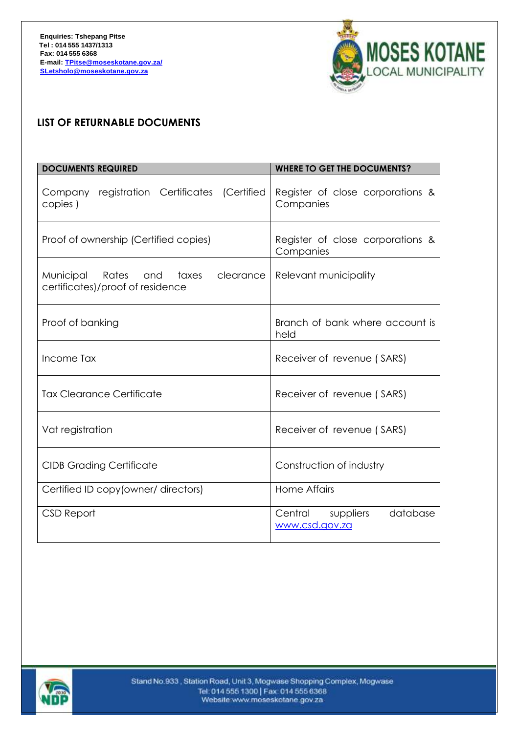

# **LIST OF RETURNABLE DOCUMENTS**

| <b>DOCUMENTS REQUIRED</b>                                                        | <b>WHERE TO GET THE DOCUMENTS?</b>                 |
|----------------------------------------------------------------------------------|----------------------------------------------------|
| Company registration Certificates (Certified<br>copies)                          | Register of close corporations &<br>Companies      |
| Proof of ownership (Certified copies)                                            | Register of close corporations &<br>Companies      |
| Municipal<br>Rates and<br>clearance<br>taxes<br>certificates)/proof of residence | Relevant municipality                              |
| Proof of banking                                                                 | Branch of bank where account is<br>held            |
| Income Tax                                                                       | Receiver of revenue (SARS)                         |
| <b>Tax Clearance Certificate</b>                                                 | Receiver of revenue (SARS)                         |
| Vat registration                                                                 | Receiver of revenue (SARS)                         |
| <b>CIDB Grading Certificate</b>                                                  | Construction of industry                           |
| Certified ID copy (owner/ directors)                                             | <b>Home Affairs</b>                                |
| CSD Report                                                                       | Central<br>suppliers<br>database<br>www.csd.gov.za |

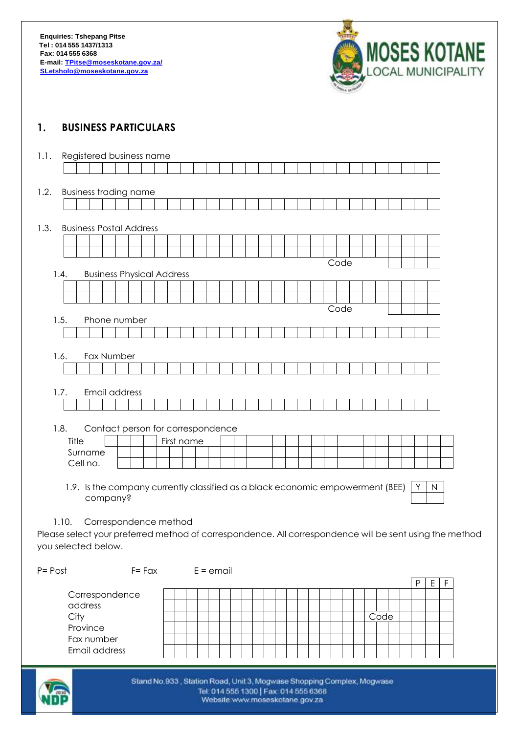

# **1. BUSINESS PARTICULARS**

| 1.1.                |       |          |          | Registered business name                                                       |                 |            |  |             |  |  |  |  |      |  |  |              |              |                                                                                                         |
|---------------------|-------|----------|----------|--------------------------------------------------------------------------------|-----------------|------------|--|-------------|--|--|--|--|------|--|--|--------------|--------------|---------------------------------------------------------------------------------------------------------|
|                     |       |          |          |                                                                                |                 |            |  |             |  |  |  |  |      |  |  |              |              |                                                                                                         |
|                     |       |          |          |                                                                                |                 |            |  |             |  |  |  |  |      |  |  |              |              |                                                                                                         |
| 1.2.                |       |          |          | <b>Business trading name</b>                                                   |                 |            |  |             |  |  |  |  |      |  |  |              |              |                                                                                                         |
|                     |       |          |          |                                                                                |                 |            |  |             |  |  |  |  |      |  |  |              |              |                                                                                                         |
|                     |       |          |          |                                                                                |                 |            |  |             |  |  |  |  |      |  |  |              |              |                                                                                                         |
| 1.3.                |       |          |          | <b>Business Postal Address</b>                                                 |                 |            |  |             |  |  |  |  |      |  |  |              |              |                                                                                                         |
|                     |       |          |          |                                                                                |                 |            |  |             |  |  |  |  |      |  |  |              |              |                                                                                                         |
|                     |       |          |          |                                                                                |                 |            |  |             |  |  |  |  |      |  |  |              |              |                                                                                                         |
|                     |       |          |          |                                                                                |                 |            |  |             |  |  |  |  | Code |  |  |              |              |                                                                                                         |
|                     | 1.4.  |          |          | <b>Business Physical Address</b>                                               |                 |            |  |             |  |  |  |  |      |  |  |              |              |                                                                                                         |
|                     |       |          |          |                                                                                |                 |            |  |             |  |  |  |  |      |  |  |              |              |                                                                                                         |
|                     |       |          |          |                                                                                |                 |            |  |             |  |  |  |  |      |  |  |              |              |                                                                                                         |
|                     |       |          |          |                                                                                |                 |            |  |             |  |  |  |  | Code |  |  |              |              |                                                                                                         |
|                     | 1.5.  |          |          | Phone number                                                                   |                 |            |  |             |  |  |  |  |      |  |  |              |              |                                                                                                         |
|                     |       |          |          |                                                                                |                 |            |  |             |  |  |  |  |      |  |  |              |              |                                                                                                         |
|                     |       |          |          |                                                                                |                 |            |  |             |  |  |  |  |      |  |  |              |              |                                                                                                         |
|                     | 1.6.  |          |          | Fax Number                                                                     |                 |            |  |             |  |  |  |  |      |  |  |              |              |                                                                                                         |
|                     |       |          |          |                                                                                |                 |            |  |             |  |  |  |  |      |  |  |              |              |                                                                                                         |
|                     |       |          |          |                                                                                |                 |            |  |             |  |  |  |  |      |  |  |              |              |                                                                                                         |
|                     | 1.7.  |          |          | Email address                                                                  |                 |            |  |             |  |  |  |  |      |  |  |              |              |                                                                                                         |
|                     |       |          |          |                                                                                |                 |            |  |             |  |  |  |  |      |  |  |              |              |                                                                                                         |
|                     |       |          |          |                                                                                |                 |            |  |             |  |  |  |  |      |  |  |              |              |                                                                                                         |
|                     | 1.8.  |          |          | Contact person for correspondence                                              |                 |            |  |             |  |  |  |  |      |  |  |              |              |                                                                                                         |
|                     |       | Title    |          |                                                                                |                 | First name |  |             |  |  |  |  |      |  |  |              |              |                                                                                                         |
|                     |       |          | Surname  |                                                                                |                 |            |  |             |  |  |  |  |      |  |  |              |              |                                                                                                         |
|                     |       | Cell no. |          |                                                                                |                 |            |  |             |  |  |  |  |      |  |  |              |              |                                                                                                         |
|                     |       |          |          | 1.9. Is the company currently classified as a black economic empowerment (BEE) |                 |            |  |             |  |  |  |  |      |  |  | Υ            | $\mathsf{N}$ |                                                                                                         |
|                     |       |          | company? |                                                                                |                 |            |  |             |  |  |  |  |      |  |  |              |              |                                                                                                         |
|                     |       |          |          |                                                                                |                 |            |  |             |  |  |  |  |      |  |  |              |              |                                                                                                         |
|                     | 1.10. |          |          | Correspondence method                                                          |                 |            |  |             |  |  |  |  |      |  |  |              |              |                                                                                                         |
|                     |       |          |          |                                                                                |                 |            |  |             |  |  |  |  |      |  |  |              |              | Please select your preferred method of correspondence. All correspondence will be sent using the method |
| you selected below. |       |          |          |                                                                                |                 |            |  |             |  |  |  |  |      |  |  |              |              |                                                                                                         |
|                     |       |          |          |                                                                                |                 |            |  |             |  |  |  |  |      |  |  |              |              |                                                                                                         |
| $P = Post$          |       |          |          |                                                                                | $F = F\alpha x$ |            |  | $E =$ email |  |  |  |  |      |  |  |              |              |                                                                                                         |
|                     |       |          |          |                                                                                |                 |            |  |             |  |  |  |  |      |  |  | $\mathsf{P}$ | Ε            | F                                                                                                       |
|                     |       |          |          | Corrospondonco                                                                 |                 |            |  |             |  |  |  |  |      |  |  |              |              |                                                                                                         |

|                           |  |  |  |  |  |  |  |  |  |      |  | - |  |
|---------------------------|--|--|--|--|--|--|--|--|--|------|--|---|--|
| Correspondence<br>address |  |  |  |  |  |  |  |  |  |      |  |   |  |
|                           |  |  |  |  |  |  |  |  |  |      |  |   |  |
| City                      |  |  |  |  |  |  |  |  |  | Code |  |   |  |
| Province                  |  |  |  |  |  |  |  |  |  |      |  |   |  |
| Fax number                |  |  |  |  |  |  |  |  |  |      |  |   |  |
| Email address             |  |  |  |  |  |  |  |  |  |      |  |   |  |



Stand No.933, Station Road, Unit 3, Mogwase Shopping Complex, Mogwase Tel: 014 555 1300 | Fax: 014 555 6368 Website www.moseskotane.gov.za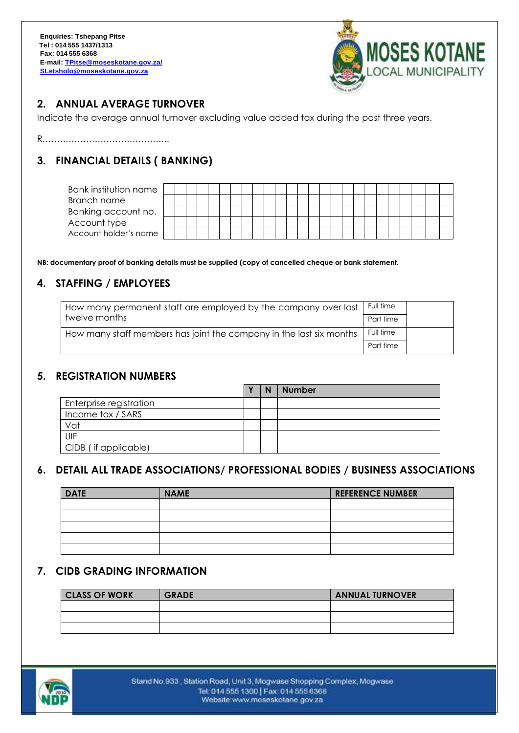

# **2. ANNUAL AVERAGE TURNOVER**

Indicate the average annual turnover excluding value added tax during the past three years.

R……………………………………..

# **3. FINANCIAL DETAILS ( BANKING)**

| Bank institution name |  |  |  |  |  |  |  |  |  |  |  |  |  |
|-----------------------|--|--|--|--|--|--|--|--|--|--|--|--|--|
| Branch name           |  |  |  |  |  |  |  |  |  |  |  |  |  |
| Banking account no.   |  |  |  |  |  |  |  |  |  |  |  |  |  |
| Account type          |  |  |  |  |  |  |  |  |  |  |  |  |  |
| Account holder's name |  |  |  |  |  |  |  |  |  |  |  |  |  |

**NB: documentary proof of banking details must be supplied (copy of cancelled cheque or bank statement.**

# **4. STAFFING / EMPLOYEES**

| How many permanent staff are employed by the company over last      | Full time |  |
|---------------------------------------------------------------------|-----------|--|
| twelve months                                                       | Part time |  |
| How many staff members has joint the company in the last six months | Full time |  |
|                                                                     | Part time |  |

### **5. REGISTRATION NUMBERS**

|                         | $\mathbf{v}$ | N | <b>Number</b> |
|-------------------------|--------------|---|---------------|
| Enterprise registration |              |   |               |
| Income tax / SARS       |              |   |               |
| Vat                     |              |   |               |
| UIF                     |              |   |               |
| CIDB (if applicable)    |              |   |               |

### **6. DETAIL ALL TRADE ASSOCIATIONS/ PROFESSIONAL BODIES / BUSINESS ASSOCIATIONS**

| <b>DATE</b> | <b>NAME</b> | <b>REFERENCE NUMBER</b> |
|-------------|-------------|-------------------------|
|             |             |                         |
|             |             |                         |
|             |             |                         |
|             |             |                         |
|             |             |                         |

### **7. CIDB GRADING INFORMATION**

| <b>CLASS OF WORK</b> | <b>GRADE</b> | <b>ANNUAL TURNOVER</b> |
|----------------------|--------------|------------------------|
|                      |              |                        |
|                      |              |                        |
|                      |              |                        |

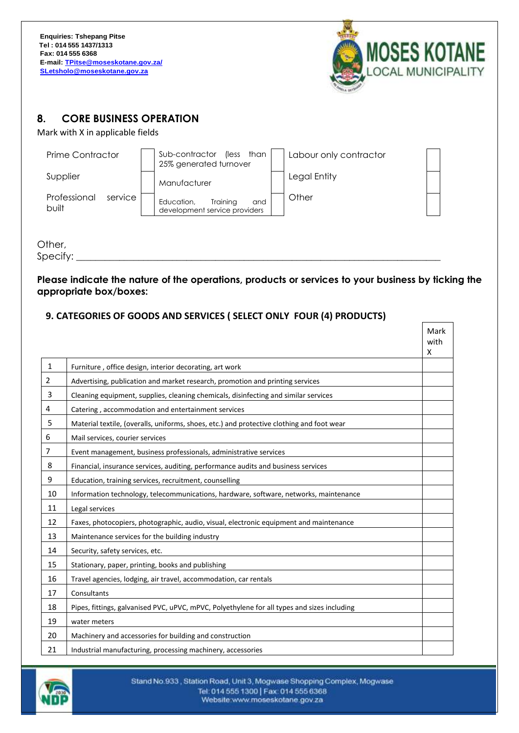

 $\Gamma$ 

┑

# **8. CORE BUSINESS OPERATION**

Mark with X in applicable fields

| Prime Contractor                 | Sub-contractor<br>(less than<br>25% generated turnover         | Labour only contractor |
|----------------------------------|----------------------------------------------------------------|------------------------|
| Supplier                         | Manufacturer                                                   | Legal Entity           |
| Professional<br>service<br>built | Training<br>Education,<br>and<br>development service providers | Other                  |

Other,

 $S$ pecify: $\_\_$ 

#### **Please indicate the nature of the operations, products or services to your business by ticking the appropriate box/boxes:**

#### **9. CATEGORIES OF GOODS AND SERVICES ( SELECT ONLY FOUR (4) PRODUCTS)**

|                |                                                                                             | Mark<br>with |
|----------------|---------------------------------------------------------------------------------------------|--------------|
| $\mathbf{1}$   |                                                                                             | X            |
|                | Furniture, office design, interior decorating, art work                                     |              |
| $\overline{2}$ | Advertising, publication and market research, promotion and printing services               |              |
| 3              | Cleaning equipment, supplies, cleaning chemicals, disinfecting and similar services         |              |
| 4              | Catering, accommodation and entertainment services                                          |              |
| 5              | Material textile, (overalls, uniforms, shoes, etc.) and protective clothing and foot wear   |              |
| 6              | Mail services, courier services                                                             |              |
| $\overline{7}$ | Event management, business professionals, administrative services                           |              |
| 8              | Financial, insurance services, auditing, performance audits and business services           |              |
| 9              | Education, training services, recruitment, counselling                                      |              |
| 10             | Information technology, telecommunications, hardware, software, networks, maintenance       |              |
| 11             | Legal services                                                                              |              |
| 12             | Faxes, photocopiers, photographic, audio, visual, electronic equipment and maintenance      |              |
| 13             | Maintenance services for the building industry                                              |              |
| 14             | Security, safety services, etc.                                                             |              |
| 15             | Stationary, paper, printing, books and publishing                                           |              |
| 16             | Travel agencies, lodging, air travel, accommodation, car rentals                            |              |
| 17             | Consultants                                                                                 |              |
| 18             | Pipes, fittings, galvanised PVC, uPVC, mPVC, Polyethylene for all types and sizes including |              |
| 19             | water meters                                                                                |              |
| 20             | Machinery and accessories for building and construction                                     |              |
| 21             | Industrial manufacturing, processing machinery, accessories                                 |              |

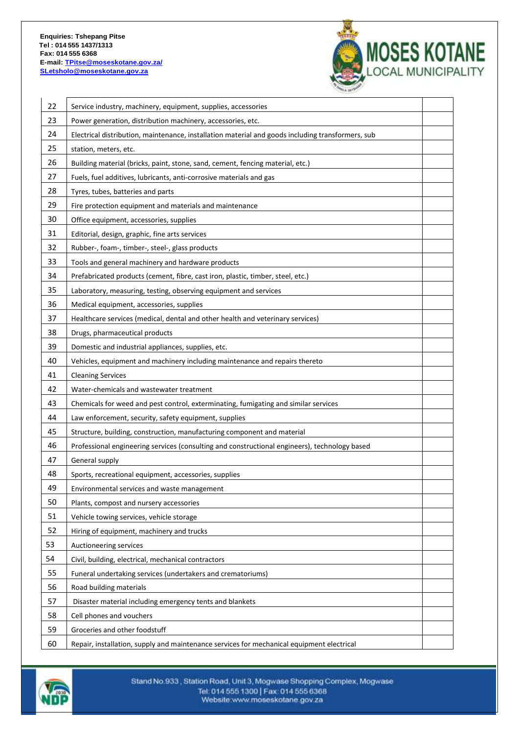

| 22 | Service industry, machinery, equipment, supplies, accessories                                     |  |
|----|---------------------------------------------------------------------------------------------------|--|
| 23 | Power generation, distribution machinery, accessories, etc.                                       |  |
| 24 | Electrical distribution, maintenance, installation material and goods including transformers, sub |  |
| 25 | station, meters, etc.                                                                             |  |
| 26 | Building material (bricks, paint, stone, sand, cement, fencing material, etc.)                    |  |
| 27 | Fuels, fuel additives, lubricants, anti-corrosive materials and gas                               |  |
| 28 | Tyres, tubes, batteries and parts                                                                 |  |
| 29 | Fire protection equipment and materials and maintenance                                           |  |
| 30 | Office equipment, accessories, supplies                                                           |  |
| 31 | Editorial, design, graphic, fine arts services                                                    |  |
| 32 | Rubber-, foam-, timber-, steel-, glass products                                                   |  |
| 33 | Tools and general machinery and hardware products                                                 |  |
| 34 | Prefabricated products (cement, fibre, cast iron, plastic, timber, steel, etc.)                   |  |
| 35 | Laboratory, measuring, testing, observing equipment and services                                  |  |
| 36 | Medical equipment, accessories, supplies                                                          |  |
| 37 | Healthcare services (medical, dental and other health and veterinary services)                    |  |
| 38 | Drugs, pharmaceutical products                                                                    |  |
| 39 | Domestic and industrial appliances, supplies, etc.                                                |  |
| 40 | Vehicles, equipment and machinery including maintenance and repairs thereto                       |  |
| 41 | <b>Cleaning Services</b>                                                                          |  |
| 42 | Water-chemicals and wastewater treatment                                                          |  |
| 43 | Chemicals for weed and pest control, exterminating, fumigating and similar services               |  |
| 44 | Law enforcement, security, safety equipment, supplies                                             |  |
| 45 | Structure, building, construction, manufacturing component and material                           |  |
| 46 | Professional engineering services (consulting and constructional engineers), technology based     |  |
| 47 | General supply                                                                                    |  |
| 48 | Sports, recreational equipment, accessories, supplies                                             |  |
| 49 | Environmental services and waste management                                                       |  |
| 50 | Plants, compost and nursery accessories                                                           |  |
| 51 | Vehicle towing services, vehicle storage                                                          |  |
| 52 | Hiring of equipment, machinery and trucks                                                         |  |
| 53 | Auctioneering services                                                                            |  |
| 54 | Civil, building, electrical, mechanical contractors                                               |  |
| 55 | Funeral undertaking services (undertakers and crematoriums)                                       |  |
| 56 | Road building materials                                                                           |  |
| 57 | Disaster material including emergency tents and blankets                                          |  |
| 58 | Cell phones and vouchers                                                                          |  |
| 59 | Groceries and other foodstuff                                                                     |  |
| 60 | Repair, installation, supply and maintenance services for mechanical equipment electrical         |  |

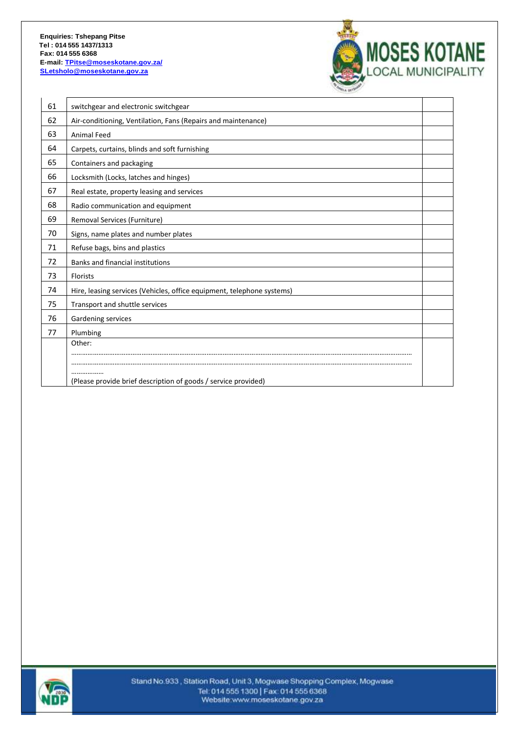

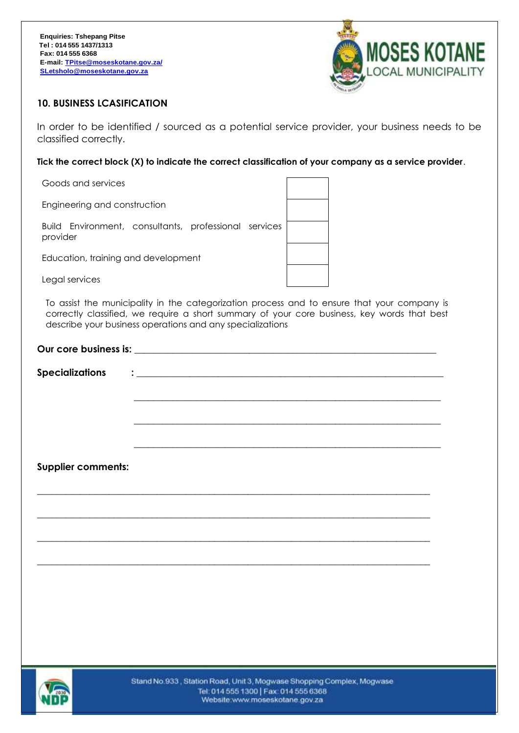

#### **10. BUSINESS LCASIFICATION**

In order to be identified / sourced as a potential service provider, your business needs to be classified correctly.

**Tick the correct block (X) to indicate the correct classification of your company as a service provider**.

| Goods and services                                                |  |
|-------------------------------------------------------------------|--|
| Engineering and construction                                      |  |
| Build Environment, consultants, professional services<br>provider |  |
| Education, training and development                               |  |
| Legal services                                                    |  |
|                                                                   |  |

To assist the municipality in the categorization process and to ensure that your company is correctly classified, we require a short summary of your core business, key words that best describe your business operations and any specializations

| <b>Supplier comments:</b> |  |  |
|---------------------------|--|--|
|                           |  |  |
|                           |  |  |
|                           |  |  |
|                           |  |  |
|                           |  |  |
|                           |  |  |